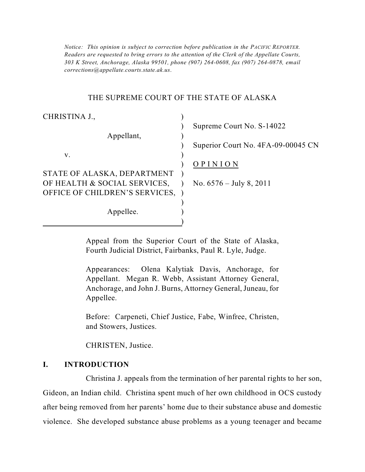*303 K Street, Anchorage, Alaska 99501, phone (907) 264-0608, fax (907) 264-0878, email Notice: This opinion is subject to correction before publication in the PACIFIC REPORTER. Readers are requested to bring errors to the attention of the Clerk of the Appellate Courts, corrections@appellate.courts.state.ak.us*.

#### THE SUPREME COURT OF THE STATE OF ALASKA

| CHRISTINA J.,                  |                                    |
|--------------------------------|------------------------------------|
|                                | Supreme Court No. S-14022          |
| Appellant,                     |                                    |
|                                | Superior Court No. 4FA-09-00045 CN |
| V.                             |                                    |
|                                | OPINION                            |
| STATE OF ALASKA, DEPARTMENT    |                                    |
| OF HEALTH & SOCIAL SERVICES,   | No. $6576 - \text{July } 8, 2011$  |
| OFFICE OF CHILDREN'S SERVICES, |                                    |
|                                |                                    |
| Appellee.                      |                                    |
|                                |                                    |

Appeal from the Superior Court of the State of Alaska, Fourth Judicial District, Fairbanks, Paul R. Lyle, Judge.

Appearances: Olena Kalytiak Davis, Anchorage, for Appellant. Megan R. Webb, Assistant Attorney General, Anchorage, and John J. Burns, Attorney General, Juneau, for Appellee.

Before: Carpeneti, Chief Justice, Fabe, Winfree, Christen, and Stowers, Justices.

CHRISTEN, Justice.

#### **I. INTRODUCTION**

Christina J. appeals from the termination of her parental rights to her son, Gideon, an Indian child. Christina spent much of her own childhood in OCS custody after being removed from her parents' home due to their substance abuse and domestic violence. She developed substance abuse problems as a young teenager and became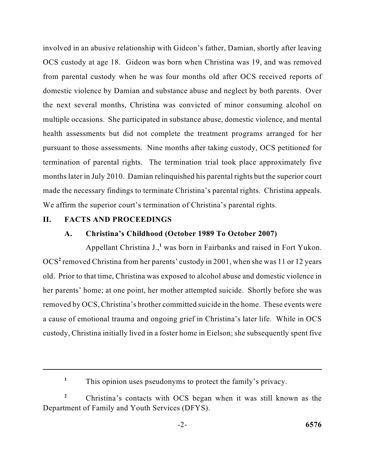involved in an abusive relationship with Gideon's father, Damian, shortly after leaving OCS custody at age 18. Gideon was born when Christina was 19, and was removed domestic violence by Damian and substance abuse and neglect by both parents. Over months later in July 2010. Damian relinquished his parental rights but the superior court made the necessary findings to terminate Christina's parental rights. Christina appeals. from parental custody when he was four months old after OCS received reports of the next several months, Christina was convicted of minor consuming alcohol on multiple occasions. She participated in substance abuse, domestic violence, and mental health assessments but did not complete the treatment programs arranged for her pursuant to those assessments. Nine months after taking custody, OCS petitioned for termination of parental rights. The termination trial took place approximately five We affirm the superior court's termination of Christina's parental rights.

#### **II. FACTS AND PROCEEDINGS**

#### **A. Christina's Childhood (October 1989 To October 2007)**

 old. Prior to that time, Christina was exposed to alcohol abuse and domestic violence in custody, Christina initially lived in a foster home in Eielson; she subsequently spent five Appellant Christina J.,**<sup>1</sup>** was born in Fairbanks and raised in Fort Yukon. OCS<sup>2</sup> removed Christina from her parents' custody in 2001, when she was 11 or 12 years her parents' home; at one point, her mother attempted suicide. Shortly before she was removed by OCS, Christina's brother committed suicide in the home. These events were a cause of emotional trauma and ongoing grief in Christina's later life. While in OCS

<sup>&</sup>lt;sup>1</sup> This opinion uses pseudonyms to protect the family's privacy.

<sup>&</sup>lt;sup>2</sup> Christina's contacts with OCS began when it was still known as the Department of Family and Youth Services (DFYS).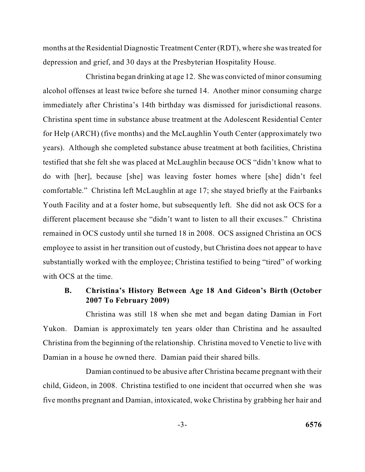months at the Residential Diagnostic Treatment Center (RDT), where she was treated for depression and grief, and 30 days at the Presbyterian Hospitality House.

 alcohol offenses at least twice before she turned 14. Another minor consuming charge for Help (ARCH) (five months) and the McLaughlin Youth Center (approximately two years). Although she completed substance abuse treatment at both facilities, Christina testified that she felt she was placed at McLaughlin because OCS "didn't know what to comfortable." Christina left McLaughlin at age 17; she stayed briefly at the Fairbanks Youth Facility and at a foster home, but subsequently left. She did not ask OCS for a substantially worked with the employee; Christina testified to being "tired" of working Christina began drinking at age 12. She was convicted of minor consuming immediately after Christina's 14th birthday was dismissed for jurisdictional reasons. Christina spent time in substance abuse treatment at the Adolescent Residential Center do with [her], because [she] was leaving foster homes where [she] didn't feel different placement because she "didn't want to listen to all their excuses." Christina remained in OCS custody until she turned 18 in 2008. OCS assigned Christina an OCS employee to assist in her transition out of custody, but Christina does not appear to have with OCS at the time.

### **B. Christina's History Between Age 18 And Gideon's Birth (October 2007 To February 2009)**

 Christina from the beginning of the relationship. Christina moved to Venetie to live with Christina was still 18 when she met and began dating Damian in Fort Yukon. Damian is approximately ten years older than Christina and he assaulted Damian in a house he owned there. Damian paid their shared bills.

 Damian continued to be abusive after Christina became pregnant with their child, Gideon, in 2008. Christina testified to one incident that occurred when she was five months pregnant and Damian, intoxicated, woke Christina by grabbing her hair and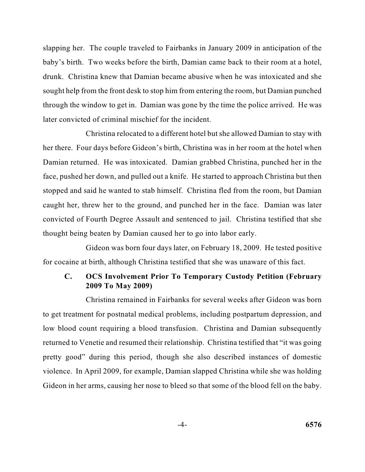drunk. Christina knew that Damian became abusive when he was intoxicated and she sought help from the front desk to stop him from entering the room, but Damian punched through the window to get in. Damian was gone by the time the police arrived. He was slapping her. The couple traveled to Fairbanks in January 2009 in anticipation of the baby's birth. Two weeks before the birth, Damian came back to their room at a hotel, later convicted of criminal mischief for the incident.

 Christina relocated to a different hotel but she allowed Damian to stay with her there. Four days before Gideon's birth, Christina was in her room at the hotel when face, pushed her down, and pulled out a knife. He started to approach Christina but then Damian returned. He was intoxicated. Damian grabbed Christina, punched her in the stopped and said he wanted to stab himself. Christina fled from the room, but Damian caught her, threw her to the ground, and punched her in the face. Damian was later convicted of Fourth Degree Assault and sentenced to jail. Christina testified that she thought being beaten by Damian caused her to go into labor early.

 Gideon was born four days later, on February 18, 2009. He tested positive for cocaine at birth, although Christina testified that she was unaware of this fact.

## **C. OCS Involvement Prior To Temporary Custody Petition (February 2009 To May 2009)**

 low blood count requiring a blood transfusion. Christina and Damian subsequently violence. In April 2009, for example, Damian slapped Christina while she was holding Gideon in her arms, causing her nose to bleed so that some of the blood fell on the baby. Christina remained in Fairbanks for several weeks after Gideon was born to get treatment for postnatal medical problems, including postpartum depression, and returned to Venetie and resumed their relationship. Christina testified that "it was going pretty good" during this period, though she also described instances of domestic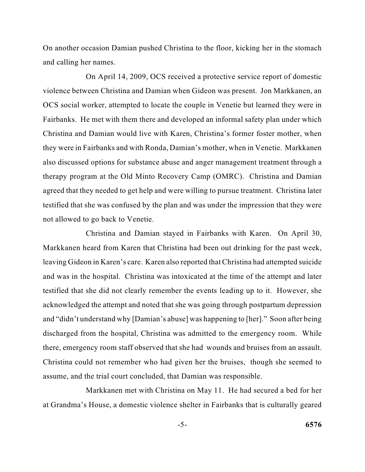On another occasion Damian pushed Christina to the floor, kicking her in the stomach and calling her names.

 On April 14, 2009, OCS received a protective service report of domestic violence between Christina and Damian when Gideon was present. Jon Markkanen, an they were in Fairbanks and with Ronda, Damian's mother, when in Venetie. Markkanen OCS social worker, attempted to locate the couple in Venetie but learned they were in Fairbanks. He met with them there and developed an informal safety plan under which Christina and Damian would live with Karen, Christina's former foster mother, when also discussed options for substance abuse and anger management treatment through a therapy program at the Old Minto Recovery Camp (OMRC). Christina and Damian agreed that they needed to get help and were willing to pursue treatment. Christina later testified that she was confused by the plan and was under the impression that they were not allowed to go back to Venetie.

 and "didn't understand why [Damian's abuse] was happening to [her]." Soon after being discharged from the hospital, Christina was admitted to the emergency room. While there, emergency room staff observed that she had wounds and bruises from an assault. Christina and Damian stayed in Fairbanks with Karen. On April 30, Markkanen heard from Karen that Christina had been out drinking for the past week, leaving Gideon in Karen's care. Karen also reported that Christina had attempted suicide and was in the hospital. Christina was intoxicated at the time of the attempt and later testified that she did not clearly remember the events leading up to it. However, she acknowledged the attempt and noted that she was going through postpartum depression Christina could not remember who had given her the bruises, though she seemed to assume, and the trial court concluded, that Damian was responsible.

 at Grandma's House, a domestic violence shelter in Fairbanks that is culturally geared Markkanen met with Christina on May 11. He had secured a bed for her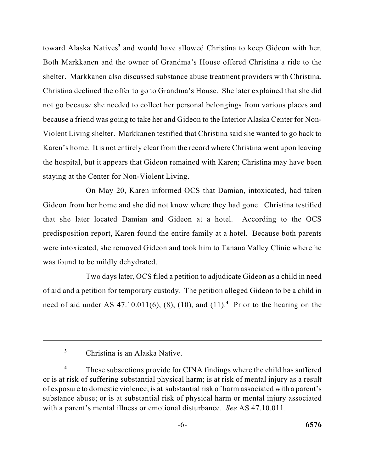shelter. Markkanen also discussed substance abuse treatment providers with Christina. Violent Living shelter. Markkanen testified that Christina said she wanted to go back to Karen's home. It is not entirely clear from the record where Christina went upon leaving the hospital, but it appears that Gideon remained with Karen; Christina may have been toward Alaska Natives<sup>3</sup> and would have allowed Christina to keep Gideon with her. Both Markkanen and the owner of Grandma's House offered Christina a ride to the Christina declined the offer to go to Grandma's House. She later explained that she did not go because she needed to collect her personal belongings from various places and because a friend was going to take her and Gideon to the Interior Alaska Center for Nonstaying at the Center for Non-Violent Living.

 predisposition report, Karen found the entire family at a hotel. Because both parents On May 20, Karen informed OCS that Damian, intoxicated, had taken Gideon from her home and she did not know where they had gone. Christina testified that she later located Damian and Gideon at a hotel. According to the OCS were intoxicated, she removed Gideon and took him to Tanana Valley Clinic where he was found to be mildly dehydrated.

need of aid under AS  $47.10.011(6)$ ,  $(8)$ ,  $(10)$ , and  $(11)<sup>4</sup>$  Prior to the hearing on the Two days later, OCS filed a petition to adjudicate Gideon as a child in need of aid and a petition for temporary custody. The petition alleged Gideon to be a child in

<sup>&</sup>lt;sup>3</sup> Christina is an Alaska Native.

 or is at risk of suffering substantial physical harm; is at risk of mental injury as a result <sup>4</sup>These subsections provide for CINA findings where the child has suffered of exposure to domestic violence; is at substantial risk of harm associated with a parent's substance abuse; or is at substantial risk of physical harm or mental injury associated with a parent's mental illness or emotional disturbance. *See* AS 47.10.011.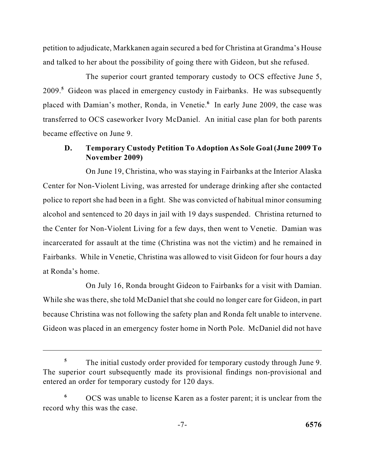petition to adjudicate, Markkanen again secured a bed for Christina at Grandma's House and talked to her about the possibility of going there with Gideon, but she refused.

The superior court granted temporary custody to OCS effective June 5, 2009.**<sup>5</sup>**Gideon was placed in emergency custody in Fairbanks. He was subsequently placed with Damian's mother, Ronda, in Venetie.<sup>6</sup> In early June 2009, the case was transferred to OCS caseworker Ivory McDaniel. An initial case plan for both parents became effective on June 9.

## **D. Temporary Custody Petition To Adoption As Sole Goal (June 2009 To November 2009)**

 On June 19, Christina, who was staying in Fairbanks at the Interior Alaska police to report she had been in a fight. She was convicted of habitual minor consuming alcohol and sentenced to 20 days in jail with 19 days suspended. Christina returned to Center for Non-Violent Living, was arrested for underage drinking after she contacted the Center for Non-Violent Living for a few days, then went to Venetie. Damian was incarcerated for assault at the time (Christina was not the victim) and he remained in Fairbanks. While in Venetie, Christina was allowed to visit Gideon for four hours a day at Ronda's home.

 While she was there, she told McDaniel that she could no longer care for Gideon, in part On July 16, Ronda brought Gideon to Fairbanks for a visit with Damian. because Christina was not following the safety plan and Ronda felt unable to intervene. Gideon was placed in an emergency foster home in North Pole. McDaniel did not have

<sup>&</sup>lt;sup>5</sup> The initial custody order provided for temporary custody through June 9. The superior court subsequently made its provisional findings non-provisional and entered an order for temporary custody for 120 days.

<sup>&</sup>lt;sup>6</sup> OCS was unable to license Karen as a foster parent; it is unclear from the record why this was the case.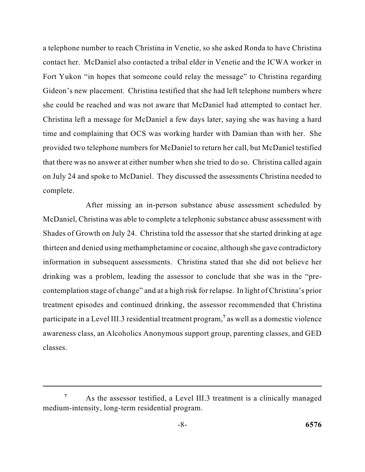a telephone number to reach Christina in Venetie, so she asked Ronda to have Christina contact her. McDaniel also contacted a tribal elder in Venetie and the ICWA worker in Fort Yukon "in hopes that someone could relay the message" to Christina regarding time and complaining that OCS was working harder with Damian than with her. She that there was no answer at either number when she tried to do so. Christina called again on July 24 and spoke to McDaniel. They discussed the assessments Christina needed to Gideon's new placement. Christina testified that she had left telephone numbers where she could be reached and was not aware that McDaniel had attempted to contact her. Christina left a message for McDaniel a few days later, saying she was having a hard provided two telephone numbers for McDaniel to return her call, but McDaniel testified complete.

 Shades of Growth on July 24. Christina told the assessor that she started drinking at age contemplation stage of change" and at a high risk for relapse. In light of Christina's prior participate in a Level III.3 residential treatment program,<sup>7</sup> as well as a domestic violence awareness class, an Alcoholics Anonymous support group, parenting classes, and GED After missing an in-person substance abuse assessment scheduled by McDaniel, Christina was able to complete a telephonic substance abuse assessment with thirteen and denied using methamphetamine or cocaine, although she gave contradictory information in subsequent assessments. Christina stated that she did not believe her drinking was a problem, leading the assessor to conclude that she was in the "pretreatment episodes and continued drinking, the assessor recommended that Christina classes.

 As the assessor testified, a Level III.3 treatment is a clinically managed medium-intensity, long-term residential program. **7**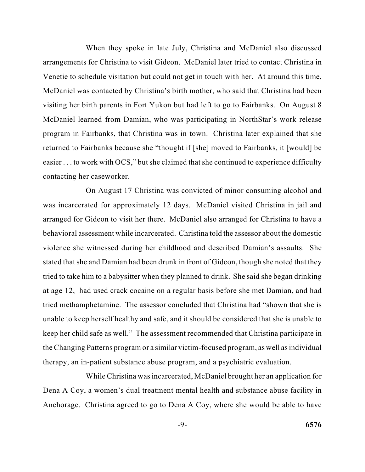arrangements for Christina to visit Gideon. McDaniel later tried to contact Christina in McDaniel was contacted by Christina's birth mother, who said that Christina had been visiting her birth parents in Fort Yukon but had left to go to Fairbanks. On August 8 easier . . . to work with OCS," but she claimed that she continued to experience difficulty When they spoke in late July, Christina and McDaniel also discussed Venetie to schedule visitation but could not get in touch with her. At around this time, McDaniel learned from Damian, who was participating in NorthStar's work release program in Fairbanks, that Christina was in town. Christina later explained that she returned to Fairbanks because she "thought if [she] moved to Fairbanks, it [would] be contacting her caseworker.

 arranged for Gideon to visit her there. McDaniel also arranged for Christina to have a behavioral assessment while incarcerated. Christina told the assessor about the domestic at age 12, had used crack cocaine on a regular basis before she met Damian, and had tried methamphetamine. The assessor concluded that Christina had "shown that she is unable to keep herself healthy and safe, and it should be considered that she is unable to keep her child safe as well." The assessment recommended that Christina participate in On August 17 Christina was convicted of minor consuming alcohol and was incarcerated for approximately 12 days. McDaniel visited Christina in jail and violence she witnessed during her childhood and described Damian's assaults. She stated that she and Damian had been drunk in front of Gideon, though she noted that they tried to take him to a babysitter when they planned to drink. She said she began drinking the Changing Patterns program or a similar victim-focused program, as well as individual therapy, an in-patient substance abuse program, and a psychiatric evaluation.

While Christina was incarcerated, McDaniel brought her an application for Dena A Coy, a women's dual treatment mental health and substance abuse facility in Anchorage. Christina agreed to go to Dena A Coy, where she would be able to have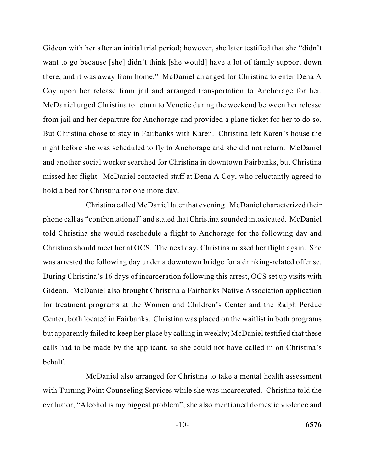Gideon with her after an initial trial period; however, she later testified that she "didn't there, and it was away from home." McDaniel arranged for Christina to enter Dena A McDaniel urged Christina to return to Venetie during the weekend between her release from jail and her departure for Anchorage and provided a plane ticket for her to do so. missed her flight. McDaniel contacted staff at Dena A Coy, who reluctantly agreed to want to go because [she] didn't think [she would] have a lot of family support down Coy upon her release from jail and arranged transportation to Anchorage for her. But Christina chose to stay in Fairbanks with Karen. Christina left Karen's house the night before she was scheduled to fly to Anchorage and she did not return. McDaniel and another social worker searched for Christina in downtown Fairbanks, but Christina hold a bed for Christina for one more day.

 phone call as "confrontational" and stated that Christina sounded intoxicated. McDaniel During Christina's 16 days of incarceration following this arrest, OCS set up visits with but apparently failed to keep her place by calling in weekly; McDaniel testified that these Christina called McDaniel later that evening. McDaniel characterized their told Christina she would reschedule a flight to Anchorage for the following day and Christina should meet her at OCS. The next day, Christina missed her flight again. She was arrested the following day under a downtown bridge for a drinking-related offense. Gideon. McDaniel also brought Christina a Fairbanks Native Association application for treatment programs at the Women and Children's Center and the Ralph Perdue Center, both located in Fairbanks. Christina was placed on the waitlist in both programs calls had to be made by the applicant, so she could not have called in on Christina's behalf.

 with Turning Point Counseling Services while she was incarcerated. Christina told the evaluator, "Alcohol is my biggest problem"; she also mentioned domestic violence and McDaniel also arranged for Christina to take a mental health assessment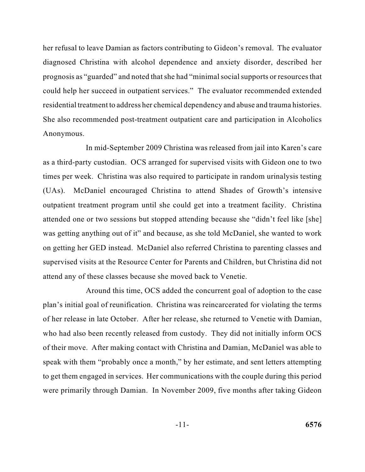her refusal to leave Damian as factors contributing to Gideon's removal. The evaluator diagnosed Christina with alcohol dependence and anxiety disorder, described her prognosis as "guarded" and noted that she had "minimal social supports or resources that could help her succeed in outpatient services." The evaluator recommended extended residential treatment to address her chemical dependency and abuse and trauma histories. She also recommended post-treatment outpatient care and participation in Alcoholics Anonymous.

 as a third-party custodian. OCS arranged for supervised visits with Gideon one to two times per week. Christina was also required to participate in random urinalysis testing was getting anything out of it" and because, as she told McDaniel, she wanted to work on getting her GED instead. McDaniel also referred Christina to parenting classes and supervised visits at the Resource Center for Parents and Children, but Christina did not In mid-September 2009 Christina was released from jail into Karen's care (UAs). McDaniel encouraged Christina to attend Shades of Growth's intensive outpatient treatment program until she could get into a treatment facility. Christina attended one or two sessions but stopped attending because she "didn't feel like [she] attend any of these classes because she moved back to Venetie.

 Around this time, OCS added the concurrent goal of adoption to the case plan's initial goal of reunification. Christina was reincarcerated for violating the terms of her release in late October. After her release, she returned to Venetie with Damian, to get them engaged in services. Her communications with the couple during this period who had also been recently released from custody. They did not initially inform OCS of their move. After making contact with Christina and Damian, McDaniel was able to speak with them "probably once a month," by her estimate, and sent letters attempting were primarily through Damian. In November 2009, five months after taking Gideon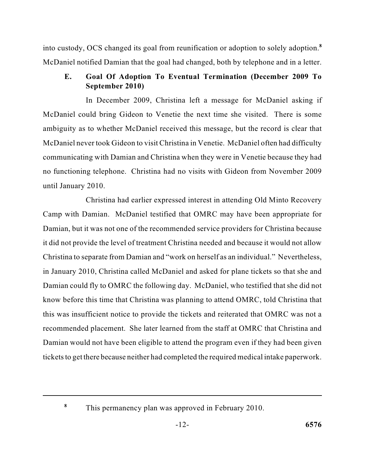into custody, OCS changed its goal from reunification or adoption to solely adoption.**<sup>8</sup>** McDaniel notified Damian that the goal had changed, both by telephone and in a letter.

# **E. Goal Of Adoption To Eventual Termination (December 2009 To September 2010)**

 McDaniel could bring Gideon to Venetie the next time she visited. There is some no functioning telephone. Christina had no visits with Gideon from November 2009 In December 2009, Christina left a message for McDaniel asking if ambiguity as to whether McDaniel received this message, but the record is clear that McDaniel never took Gideon to visit Christina in Venetie. McDaniel often had difficulty communicating with Damian and Christina when they were in Venetie because they had until January 2010.

 it did not provide the level of treatment Christina needed and because it would not allow Damian could fly to OMRC the following day. McDaniel, who testified that she did not know before this time that Christina was planning to attend OMRC, told Christina that this was insufficient notice to provide the tickets and reiterated that OMRC was not a Christina had earlier expressed interest in attending Old Minto Recovery Camp with Damian. McDaniel testified that OMRC may have been appropriate for Damian, but it was not one of the recommended service providers for Christina because Christina to separate from Damian and "work on herself as an individual." Nevertheless, in January 2010, Christina called McDaniel and asked for plane tickets so that she and recommended placement. She later learned from the staff at OMRC that Christina and Damian would not have been eligible to attend the program even if they had been given tickets to get there because neither had completed the required medical intake paperwork.

<sup>&</sup>lt;sup>8</sup> This permanency plan was approved in February 2010.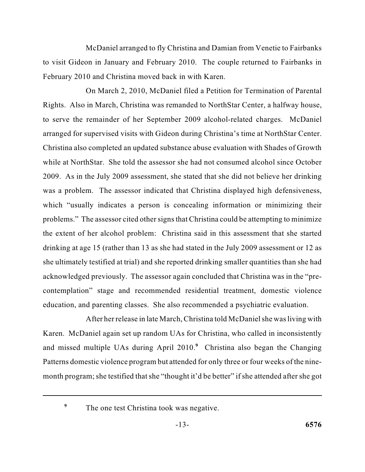McDaniel arranged to fly Christina and Damian from Venetie to Fairbanks to visit Gideon in January and February 2010. The couple returned to Fairbanks in February 2010 and Christina moved back in with Karen.

 On March 2, 2010, McDaniel filed a Petition for Termination of Parental Rights. Also in March, Christina was remanded to NorthStar Center, a halfway house, Christina also completed an updated substance abuse evaluation with Shades of Growth which "usually indicates a person is concealing information or minimizing their acknowledged previously. The assessor again concluded that Christina was in the "preto serve the remainder of her September 2009 alcohol-related charges. McDaniel arranged for supervised visits with Gideon during Christina's time at NorthStar Center. while at NorthStar. She told the assessor she had not consumed alcohol since October 2009. As in the July 2009 assessment, she stated that she did not believe her drinking was a problem. The assessor indicated that Christina displayed high defensiveness, problems." The assessor cited other signs that Christina could be attempting to minimize the extent of her alcohol problem: Christina said in this assessment that she started drinking at age 15 (rather than 13 as she had stated in the July 2009 assessment or 12 as she ultimately testified at trial) and she reported drinking smaller quantities than she had contemplation" stage and recommended residential treatment, domestic violence education, and parenting classes. She also recommended a psychiatric evaluation.

 After her release in late March, Christina told McDaniel she was living with and missed multiple UAs during April 2010.<sup>9</sup> Christina also began the Changing month program; she testified that she "thought it'd be better" if she attended after she got Karen. McDaniel again set up random UAs for Christina, who called in inconsistently Patterns domestic violence program but attended for only three or four weeks of the nine-

<sup>&</sup>lt;sup>9</sup> The one test Christina took was negative.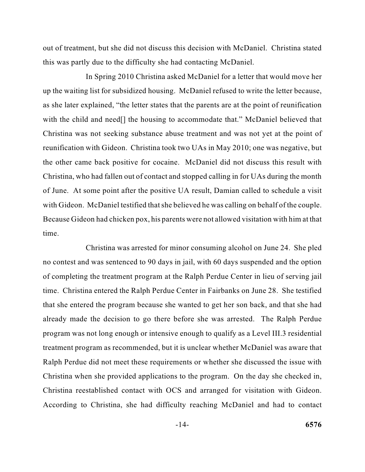out of treatment, but she did not discuss this decision with McDaniel. Christina stated this was partly due to the difficulty she had contacting McDaniel.

 up the waiting list for subsidized housing. McDaniel refused to write the letter because, as she later explained, "the letter states that the parents are at the point of reunification Christina was not seeking substance abuse treatment and was not yet at the point of reunification with Gideon. Christina took two UAs in May 2010; one was negative, but with Gideon. McDaniel testified that she believed he was calling on behalf of the couple. In Spring 2010 Christina asked McDaniel for a letter that would move her with the child and need<sup>[]</sup> the housing to accommodate that." McDaniel believed that the other came back positive for cocaine. McDaniel did not discuss this result with Christina, who had fallen out of contact and stopped calling in for UAs during the month of June. At some point after the positive UA result, Damian called to schedule a visit Because Gideon had chicken pox, his parents were not allowed visitation with him at that time.

 Christina was arrested for minor consuming alcohol on June 24. She pled no contest and was sentenced to 90 days in jail, with 60 days suspended and the option of completing the treatment program at the Ralph Perdue Center in lieu of serving jail treatment program as recommended, but it is unclear whether McDaniel was aware that Ralph Perdue did not meet these requirements or whether she discussed the issue with time. Christina entered the Ralph Perdue Center in Fairbanks on June 28. She testified that she entered the program because she wanted to get her son back, and that she had already made the decision to go there before she was arrested. The Ralph Perdue program was not long enough or intensive enough to qualify as a Level III.3 residential Christina when she provided applications to the program. On the day she checked in, Christina reestablished contact with OCS and arranged for visitation with Gideon. According to Christina, she had difficulty reaching McDaniel and had to contact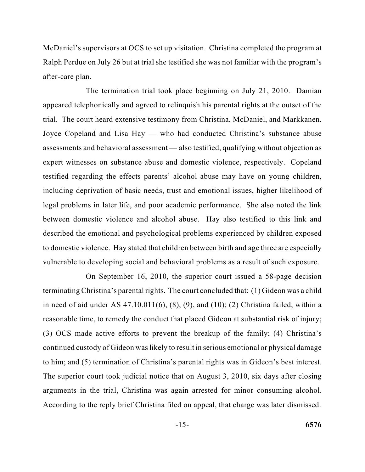Ralph Perdue on July 26 but at trial she testified she was not familiar with the program's McDaniel's supervisors at OCS to set up visitation. Christina completed the program at after-care plan.

 appeared telephonically and agreed to relinquish his parental rights at the outset of the testified regarding the effects parents' alcohol abuse may have on young children, to domestic violence. Hay stated that children between birth and age three are especially The termination trial took place beginning on July 21, 2010. Damian trial. The court heard extensive testimony from Christina, McDaniel, and Markkanen. Joyce Copeland and Lisa Hay — who had conducted Christina's substance abuse assessments and behavioral assessment — also testified, qualifying without objection as expert witnesses on substance abuse and domestic violence, respectively. Copeland including deprivation of basic needs, trust and emotional issues, higher likelihood of legal problems in later life, and poor academic performance. She also noted the link between domestic violence and alcohol abuse. Hay also testified to this link and described the emotional and psychological problems experienced by children exposed vulnerable to developing social and behavioral problems as a result of such exposure.

 continued custody of Gideon was likely to result in serious emotional or physical damage to him; and (5) termination of Christina's parental rights was in Gideon's best interest. On September 16, 2010, the superior court issued a 58-page decision terminating Christina's parental rights. The court concluded that: (1) Gideon was a child in need of aid under AS  $47.10.011(6)$ ,  $(8)$ ,  $(9)$ , and  $(10)$ ;  $(2)$  Christina failed, within a reasonable time, to remedy the conduct that placed Gideon at substantial risk of injury; (3) OCS made active efforts to prevent the breakup of the family; (4) Christina's The superior court took judicial notice that on August 3, 2010, six days after closing arguments in the trial, Christina was again arrested for minor consuming alcohol. According to the reply brief Christina filed on appeal, that charge was later dismissed.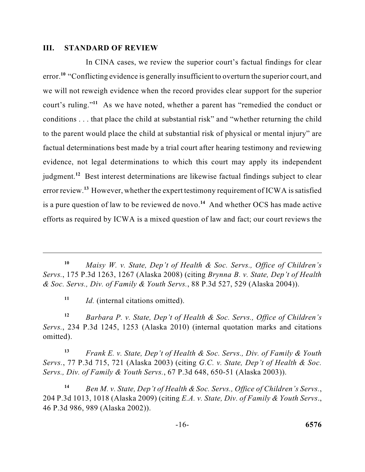#### **III. STANDARD OF REVIEW**

 In CINA cases, we review the superior court's factual findings for clear error.**<sup>10</sup>** "Conflicting evidence is generally insufficient to overturn the superior court, and conditions . . . that place the child at substantial risk" and "whether returning the child error review.**<sup>13</sup>** However, whether the expert testimony requirement of ICWA is satisfied is a pure question of law to be reviewed de novo.<sup>14</sup> And whether OCS has made active we will not reweigh evidence when the record provides clear support for the superior court's ruling."**<sup>11</sup>**As we have noted, whether a parent has "remedied the conduct or to the parent would place the child at substantial risk of physical or mental injury" are factual determinations best made by a trial court after hearing testimony and reviewing evidence, not legal determinations to which this court may apply its independent judgment.<sup>12</sup> Best interest determinations are likewise factual findings subject to clear efforts as required by ICWA is a mixed question of law and fact; our court reviews the

**<sup>10</sup>***Maisy W. v. State, Dep't of Health & Soc. Servs., Office of Children's Servs.*, 175 P.3d 1263, 1267 (Alaska 2008) (citing *Brynna B. v. State, Dep't of Health & Soc. Servs., Div. of Family & Youth Servs.*, 88 P.3d 527, 529 (Alaska 2004)).

<sup>&</sup>lt;sup>11</sup> *Id.* (internal citations omitted).

**<sup>12</sup>***Barbara P. v. State, Dep't of Health & Soc. Servs., Office of Children's Servs.*, 234 P.3d 1245, 1253 (Alaska 2010) (internal quotation marks and citations omitted).

 **<sup>13</sup>***Frank E. v. State, Dep't of Health & Soc. Servs., Div. of Family & Youth Servs.*, 77 P.3d 715, 721 (Alaska 2003) (citing *G.C. v. State, Dep't of Health & Soc. Servs., Div. of Family & Youth Servs.*, 67 P.3d 648, 650-51 (Alaska 2003)).

 **<sup>14</sup>***Ben M. v. State, Dep't of Health & Soc. Servs., Office of Children's Servs.*,  204 P.3d 1013, 1018 (Alaska 2009) (citing *E.A. v. State, Div. of Family & Youth Servs*., 46 P.3d 986, 989 (Alaska 2002)).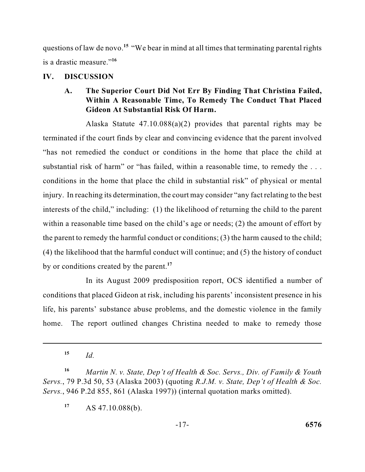questions of law de novo.**<sup>15</sup>** "We bear in mind at all times that terminating parental rights is a drastic measure."**<sup>16</sup>**

### **IV. DISCUSSION**

# **A. The Superior Court Did Not Err By Finding That Christina Failed, Within A Reasonable Time, To Remedy The Conduct That Placed Gideon At Substantial Risk Of Harm.**

 injury. In reaching its determination, the court may consider "any fact relating to the best within a reasonable time based on the child's age or needs; (2) the amount of effort by the parent to remedy the harmful conduct or conditions; (3) the harm caused to the child; (4) the likelihood that the harmful conduct will continue; and (5) the history of conduct Alaska Statute 47.10.088(a)(2) provides that parental rights may be terminated if the court finds by clear and convincing evidence that the parent involved "has not remedied the conduct or conditions in the home that place the child at substantial risk of harm" or "has failed, within a reasonable time, to remedy the . . . conditions in the home that place the child in substantial risk" of physical or mental interests of the child," including: (1) the likelihood of returning the child to the parent by or conditions created by the parent.**<sup>17</sup>**

 conditions that placed Gideon at risk, including his parents' inconsistent presence in his home. The report outlined changes Christina needed to make to remedy those In its August 2009 predisposition report, OCS identified a number of life, his parents' substance abuse problems, and the domestic violence in the family

**<sup>17</sup>**AS 47.10.088(b).

<sup>15</sup>  $Id$ 

**<sup>16</sup>***Martin N. v. State, Dep't of Health & Soc. Servs., Div. of Family & Youth Servs.*, 79 P.3d 50, 53 (Alaska 2003) (quoting *R.J.M. v. State, Dep't of Health & Soc. Servs.*, 946 P.2d 855, 861 (Alaska 1997)) (internal quotation marks omitted).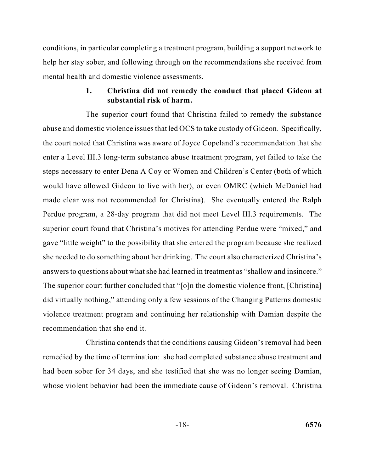conditions, in particular completing a treatment program, building a support network to help her stay sober, and following through on the recommendations she received from mental health and domestic violence assessments.

## **1. Christina did not remedy the conduct that placed Gideon at substantial risk of harm.**

 she needed to do something about her drinking. The court also characterized Christina's answers to questions about what she had learned in treatment as "shallow and insincere." did virtually nothing," attending only a few sessions of the Changing Patterns domestic The superior court found that Christina failed to remedy the substance abuse and domestic violence issues that led OCS to take custody of Gideon. Specifically, the court noted that Christina was aware of Joyce Copeland's recommendation that she enter a Level III.3 long-term substance abuse treatment program, yet failed to take the steps necessary to enter Dena A Coy or Women and Children's Center (both of which would have allowed Gideon to live with her), or even OMRC (which McDaniel had made clear was not recommended for Christina). She eventually entered the Ralph Perdue program, a 28-day program that did not meet Level III.3 requirements. The superior court found that Christina's motives for attending Perdue were "mixed," and gave "little weight" to the possibility that she entered the program because she realized The superior court further concluded that "[o]n the domestic violence front, [Christina] violence treatment program and continuing her relationship with Damian despite the recommendation that she end it.

 Christina contends that the conditions causing Gideon's removal had been remedied by the time of termination: she had completed substance abuse treatment and had been sober for 34 days, and she testified that she was no longer seeing Damian, whose violent behavior had been the immediate cause of Gideon's removal. Christina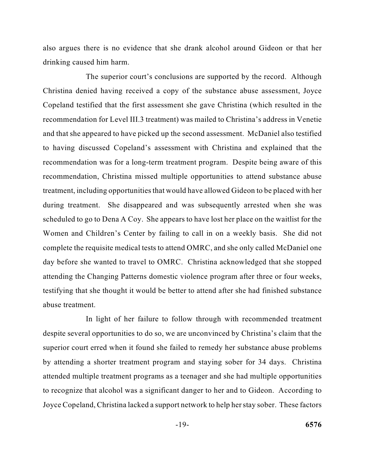also argues there is no evidence that she drank alcohol around Gideon or that her drinking caused him harm.

 recommendation for Level III.3 treatment) was mailed to Christina's address in Venetie and that she appeared to have picked up the second assessment. McDaniel also testified scheduled to go to Dena A Coy. She appears to have lost her place on the waitlist for the complete the requisite medical tests to attend OMRC, and she only called McDaniel one The superior court's conclusions are supported by the record. Although Christina denied having received a copy of the substance abuse assessment, Joyce Copeland testified that the first assessment she gave Christina (which resulted in the to having discussed Copeland's assessment with Christina and explained that the recommendation was for a long-term treatment program. Despite being aware of this recommendation, Christina missed multiple opportunities to attend substance abuse treatment, including opportunities that would have allowed Gideon to be placed with her during treatment. She disappeared and was subsequently arrested when she was Women and Children's Center by failing to call in on a weekly basis. She did not day before she wanted to travel to OMRC. Christina acknowledged that she stopped attending the Changing Patterns domestic violence program after three or four weeks, testifying that she thought it would be better to attend after she had finished substance abuse treatment.

 by attending a shorter treatment program and staying sober for 34 days. Christina to recognize that alcohol was a significant danger to her and to Gideon. According to Joyce Copeland, Christina lacked a support network to help her stay sober. These factors In light of her failure to follow through with recommended treatment despite several opportunities to do so, we are unconvinced by Christina's claim that the superior court erred when it found she failed to remedy her substance abuse problems attended multiple treatment programs as a teenager and she had multiple opportunities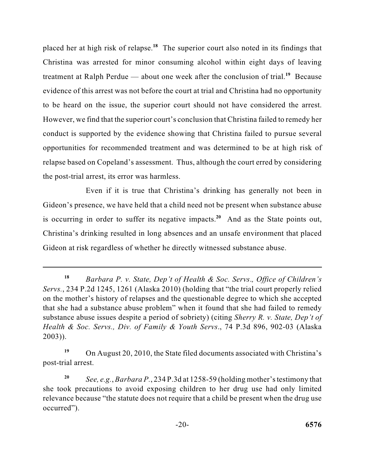opportunities for recommended treatment and was determined to be at high risk of placed her at high risk of relapse.**<sup>18</sup>**The superior court also noted in its findings that Christina was arrested for minor consuming alcohol within eight days of leaving treatment at Ralph Perdue — about one week after the conclusion of trial.<sup>19</sup> Because evidence of this arrest was not before the court at trial and Christina had no opportunity to be heard on the issue, the superior court should not have considered the arrest. However, we find that the superior court's conclusion that Christina failed to remedy her conduct is supported by the evidence showing that Christina failed to pursue several relapse based on Copeland's assessment. Thus, although the court erred by considering the post-trial arrest, its error was harmless.

 Gideon's presence, we have held that a child need not be present when substance abuse is occurring in order to suffer its negative impacts.<sup>20</sup> And as the State points out, Even if it is true that Christina's drinking has generally not been in Christina's drinking resulted in long absences and an unsafe environment that placed Gideon at risk regardless of whether he directly witnessed substance abuse.

**<sup>19</sup>**On August 20, 2010, the State filed documents associated with Christina's post-trial arrest.

 substance abuse issues despite a period of sobriety) (citing *Sherry R. v. State, Dep't of*  **<sup>18</sup>***Barbara P. v. State, Dep't of Health & Soc. Servs*.*, Office of Children's Servs.*, 234 P.2d 1245, 1261 (Alaska 2010) (holding that "the trial court properly relied on the mother's history of relapses and the questionable degree to which she accepted that she had a substance abuse problem" when it found that she had failed to remedy *Health & Soc. Servs., Div. of Family & Youth Servs*., 74 P.3d 896, 902-03 (Alaska 2003)).

 she took precautions to avoid exposing children to her drug use had only limited **<sup>20</sup>***See, e.g.*, *Barbara P.*, 234 P.3d at 1258-59 (holding mother's testimony that relevance because "the statute does not require that a child be present when the drug use occurred").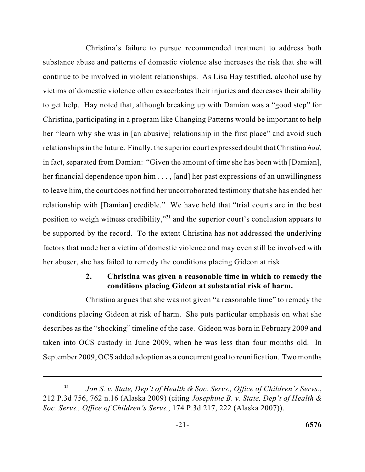substance abuse and patterns of domestic violence also increases the risk that she will victims of domestic violence often exacerbates their injuries and decreases their ability to get help. Hay noted that, although breaking up with Damian was a "good step" for her "learn why she was in [an abusive] relationship in the first place" and avoid such relationships in the future. Finally, the superior court expressed doubt that Christina *had*, to leave him, the court does not find her uncorroborated testimony that she has ended her factors that made her a victim of domestic violence and may even still be involved with Christina's failure to pursue recommended treatment to address both continue to be involved in violent relationships. As Lisa Hay testified, alcohol use by Christina, participating in a program like Changing Patterns would be important to help in fact, separated from Damian: "Given the amount of time she has been with [Damian], her financial dependence upon him ..., [and] her past expressions of an unwillingness relationship with [Damian] credible." We have held that "trial courts are in the best position to weigh witness credibility,"**<sup>21</sup>**and the superior court's conclusion appears to be supported by the record. To the extent Christina has not addressed the underlying her abuser, she has failed to remedy the conditions placing Gideon at risk.

# **2. Christina was given a reasonable time in which to remedy the conditions placing Gideon at substantial risk of harm.**

 conditions placing Gideon at risk of harm. She puts particular emphasis on what she describes as the "shocking" timeline of the case. Gideon was born in February 2009 and September 2009, OCS added adoption as a concurrent goal to reunification. Two months Christina argues that she was not given "a reasonable time" to remedy the taken into OCS custody in June 2009, when he was less than four months old. In

 *Jon S. v. State, Dep't of Health & Soc. Servs., Office of Children's Servs.*,  212 P.3d 756, 762 n.16 (Alaska 2009) (citing *Josephine B. v. State, Dep't of Health & Soc. Servs., Office of Children's Servs.*, 174 P.3d 217, 222 (Alaska 2007)). **21**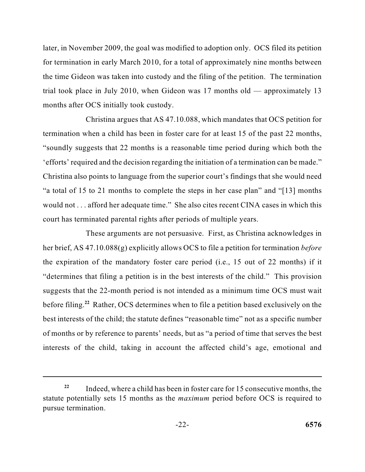later, in November 2009, the goal was modified to adoption only. OCS filed its petition for termination in early March 2010, for a total of approximately nine months between the time Gideon was taken into custody and the filing of the petition. The termination trial took place in July 2010, when Gideon was 17 months old — approximately 13 months after OCS initially took custody.

 Christina argues that AS 47.10.088, which mandates that OCS petition for termination when a child has been in foster care for at least 15 of the past 22 months, "soundly suggests that 22 months is a reasonable time period during which both the 'efforts' required and the decision regarding the initiation of a termination can be made." would not . . . afford her adequate time." She also cites recent CINA cases in which this Christina also points to language from the superior court's findings that she would need "a total of 15 to 21 months to complete the steps in her case plan" and "[13] months court has terminated parental rights after periods of multiple years.

 her brief, AS 47.10.088(g) explicitly allows OCS to file a petition for termination *before*  the expiration of the mandatory foster care period (i.e., 15 out of 22 months) if it best interests of the child; the statute defines "reasonable time" not as a specific number of months or by reference to parents' needs, but as "a period of time that serves the best interests of the child, taking in account the affected child's age, emotional and These arguments are not persuasive. First, as Christina acknowledges in "determines that filing a petition is in the best interests of the child." This provision suggests that the 22-month period is not intended as a minimum time OCS must wait before filing.**<sup>22</sup>**Rather, OCS determines when to file a petition based exclusively on the

Indeed, where a child has been in foster care for 15 consecutive months, the statute potentially sets 15 months as the *maximum* period before OCS is required to pursue termination. **22**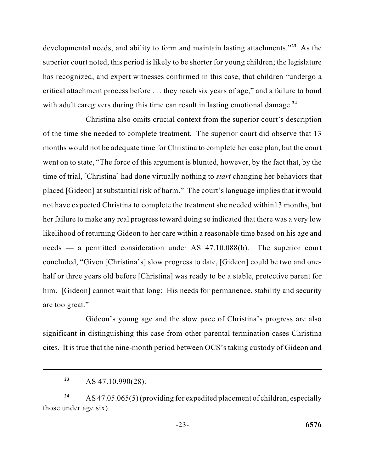developmental needs, and ability to form and maintain lasting attachments."<sup>23</sup> As the critical attachment process before . . . they reach six years of age," and a failure to bond superior court noted, this period is likely to be shorter for young children; the legislature has recognized, and expert witnesses confirmed in this case, that children "undergo a with adult caregivers during this time can result in lasting emotional damage.<sup>24</sup>

 Christina also omits crucial context from the superior court's description went on to state, "The force of this argument is blunted, however, by the fact that, by the time of trial, [Christina] had done virtually nothing to *start* changing her behaviors that placed [Gideon] at substantial risk of harm." The court's language implies that it would not have expected Christina to complete the treatment she needed within13 months, but her failure to make any real progress toward doing so indicated that there was a very low likelihood of returning Gideon to her care within a reasonable time based on his age and concluded, "Given [Christina's] slow progress to date, [Gideon] could be two and one- half or three years old before [Christina] was ready to be a stable, protective parent for of the time she needed to complete treatment. The superior court did observe that 13 months would not be adequate time for Christina to complete her case plan, but the court needs — a permitted consideration under AS 47.10.088(b). The superior court him. [Gideon] cannot wait that long: His needs for permanence, stability and security are too great."

 Gideon's young age and the slow pace of Christina's progress are also significant in distinguishing this case from other parental termination cases Christina cites. It is true that the nine-month period between OCS's taking custody of Gideon and

**<sup>24</sup>**AS 47.05.065(5) (providing for expedited placement of children, especially those under age six).

**<sup>23</sup>**AS 47.10.990(28).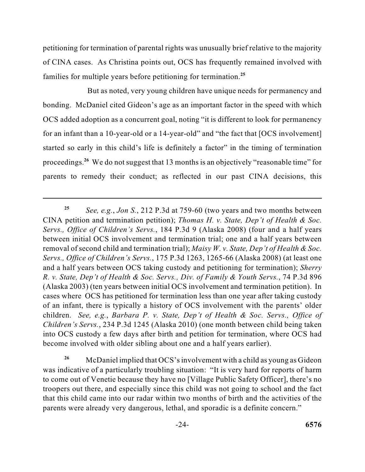petitioning for termination of parental rights was unusually brief relative to the majority of CINA cases. As Christina points out, OCS has frequently remained involved with families for multiple years before petitioning for termination.**<sup>25</sup>**

 OCS added adoption as a concurrent goal, noting "it is different to look for permanency proceedings.**<sup>26</sup>** We do not suggest that 13 months is an objectively "reasonable time" for But as noted, very young children have unique needs for permanency and bonding. McDaniel cited Gideon's age as an important factor in the speed with which for an infant than a 10-year-old or a 14-year-old" and "the fact that [OCS involvement] started so early in this child's life is definitely a factor" in the timing of termination parents to remedy their conduct; as reflected in our past CINA decisions, this

 removal of second child and termination trial); *Maisy W. v. State, Dep't of Health & Soc. Servs., Office of Children's Servs.*, 175 P.3d 1263, 1265-66 (Alaska 2008) (at least one cases where OCS has petitioned for termination less than one year after taking custody  children. *See, e.g.*, *Barbara P. v. State, Dep't of Health & Soc. Servs., Office of*  into OCS custody a few days after birth and petition for termination, where OCS had **<sup>25</sup>***See, e.g.*, *Jon S.*, 212 P.3d at 759-60 (two years and two months between CINA petition and termination petition); *Thomas H. v. State, Dep't of Health & Soc. Servs., Office of Children's Servs.*, 184 P.3d 9 (Alaska 2008) (four and a half years between initial OCS involvement and termination trial; one and a half years between and a half years between OCS taking custody and petitioning for termination); *Sherry R. v. State, Dep't of Health & Soc. Servs., Div. of Family & Youth Servs.*, 74 P.3d 896 (Alaska 2003) (ten years between initial OCS involvement and termination petition). In of an infant, there is typically a history of OCS involvement with the parents' older *Children's Servs.*, 234 P.3d 1245 (Alaska 2010) (one month between child being taken become involved with older sibling about one and a half years earlier).

 was indicative of a particularly troubling situation: "It is very hard for reports of harm to come out of Venetie because they have no [Village Public Safety Officer], there's no <sup>26</sup>McDaniel implied that OCS's involvement with a child as young as Gideon troopers out there, and especially since this child was not going to school and the fact that this child came into our radar within two months of birth and the activities of the parents were already very dangerous, lethal, and sporadic is a definite concern."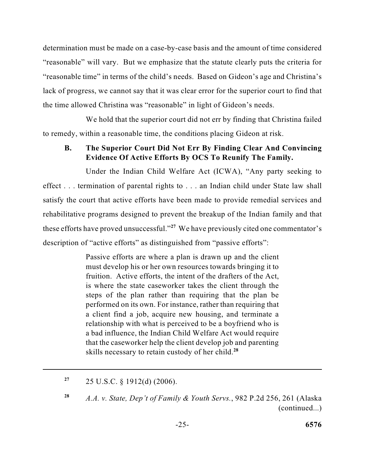"reasonable time" in terms of the child's needs. Based on Gideon's age and Christina's determination must be made on a case-by-case basis and the amount of time considered "reasonable" will vary. But we emphasize that the statute clearly puts the criteria for lack of progress, we cannot say that it was clear error for the superior court to find that the time allowed Christina was "reasonable" in light of Gideon's needs.

We hold that the superior court did not err by finding that Christina failed to remedy, within a reasonable time, the conditions placing Gideon at risk.

# **B. The Superior Court Did Not Err By Finding Clear And Convincing Evidence Of Active Efforts By OCS To Reunify The Family.**

 effect . . . termination of parental rights to . . . an Indian child under State law shall rehabilitative programs designed to prevent the breakup of the Indian family and that Under the Indian Child Welfare Act (ICWA), "Any party seeking to satisfy the court that active efforts have been made to provide remedial services and these efforts have proved unsuccessful."**<sup>27</sup>** We have previously cited one commentator's description of "active efforts" as distinguished from "passive efforts":

> Passive efforts are where a plan is drawn up and the client fruition. Active efforts, the intent of the drafters of the Act, a client find a job, acquire new housing, and terminate a relationship with what is perceived to be a boyfriend who is must develop his or her own resources towards bringing it to is where the state caseworker takes the client through the steps of the plan rather than requiring that the plan be performed on its own. For instance, rather than requiring that a bad influence, the Indian Child Welfare Act would require that the caseworker help the client develop job and parenting skills necessary to retain custody of her child.**<sup>28</sup>**

**<sup>27</sup>**25 U.S.C. § 1912(d) (2006).

 **<sup>28</sup>***A.A. v. State, Dep't of Family & Youth Servs.*, 982 P.2d 256, 261 (Alaska (continued...)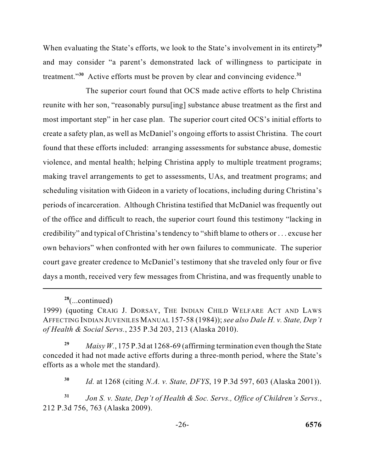When evaluating the State's efforts, we look to the State's involvement in its entirety**<sup>29</sup>** and may consider "a parent's demonstrated lack of willingness to participate in treatment."<sup>30</sup> Active efforts must be proven by clear and convincing evidence.<sup>31</sup>

 The superior court found that OCS made active efforts to help Christina reunite with her son, "reasonably pursu[ing] substance abuse treatment as the first and most important step" in her case plan. The superior court cited OCS's initial efforts to create a safety plan, as well as McDaniel's ongoing efforts to assist Christina. The court of the office and difficult to reach, the superior court found this testimony "lacking in days a month, received very few messages from Christina, and was frequently unable to found that these efforts included: arranging assessments for substance abuse, domestic violence, and mental health; helping Christina apply to multiple treatment programs; making travel arrangements to get to assessments, UAs, and treatment programs; and scheduling visitation with Gideon in a variety of locations, including during Christina's periods of incarceration. Although Christina testified that McDaniel was frequently out credibility" and typical of Christina's tendency to "shift blame to others or . . . excuse her own behaviors" when confronted with her own failures to communicate. The superior court gave greater credence to McDaniel's testimony that she traveled only four or five

**<sup>29</sup>***Maisy W.*, 175 P.3d at 1268-69 (affirming termination even though the State conceded it had not made active efforts during a three-month period, where the State's efforts as a whole met the standard).

**<sup>28</sup>**(...continued)

<sup>1999) (</sup>quoting CRAIG J. DORSAY, THE INDIAN CHILD WELFARE ACT AND LAWS AFFECTING INDIAN JUVENILES MANUAL 157-58 (1984)); *see also Dale H. v. State, Dep't of Health & Social Servs.*, 235 P.3d 203, 213 (Alaska 2010).

**<sup>30</sup>***Id.* at 1268 (citing *N.A. v. State, DFYS*, 19 P.3d 597, 603 (Alaska 2001)).

 **<sup>31</sup>***Jon S. v. State, Dep't of Health & Soc. Servs., Office of Children's Servs.*, 212 P.3d 756, 763 (Alaska 2009).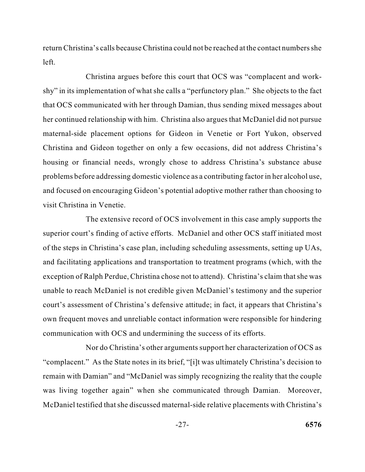return Christina's calls because Christina could not be reached at the contact numbers she left.

 her continued relationship with him. Christina also argues that McDaniel did not pursue Christina argues before this court that OCS was "complacent and workshy" in its implementation of what she calls a "perfunctory plan." She objects to the fact that OCS communicated with her through Damian, thus sending mixed messages about maternal-side placement options for Gideon in Venetie or Fort Yukon, observed Christina and Gideon together on only a few occasions, did not address Christina's housing or financial needs, wrongly chose to address Christina's substance abuse problems before addressing domestic violence as a contributing factor in her alcohol use, and focused on encouraging Gideon's potential adoptive mother rather than choosing to visit Christina in Venetie.

 The extensive record of OCS involvement in this case amply supports the superior court's finding of active efforts. McDaniel and other OCS staff initiated most of the steps in Christina's case plan, including scheduling assessments, setting up UAs, and facilitating applications and transportation to treatment programs (which, with the unable to reach McDaniel is not credible given McDaniel's testimony and the superior own frequent moves and unreliable contact information were responsible for hindering exception of Ralph Perdue, Christina chose not to attend). Christina's claim that she was court's assessment of Christina's defensive attitude; in fact, it appears that Christina's communication with OCS and undermining the success of its efforts.

 Nor do Christina's other arguments support her characterization of OCS as remain with Damian" and "McDaniel was simply recognizing the reality that the couple "complacent." As the State notes in its brief, "[i]t was ultimately Christina's decision to was living together again" when she communicated through Damian. Moreover, McDaniel testified that she discussed maternal-side relative placements with Christina's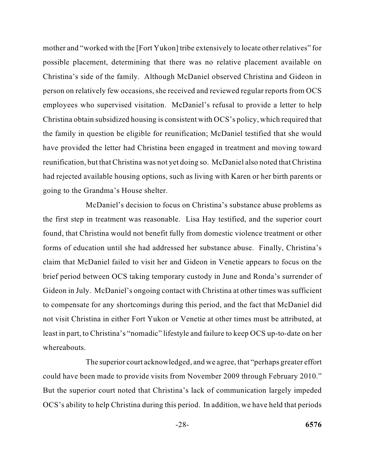mother and "worked with the [Fort Yukon] tribe extensively to locate other relatives" for person on relatively few occasions, she received and reviewed regular reports from OCS the family in question be eligible for reunification; McDaniel testified that she would had rejected available housing options, such as living with Karen or her birth parents or possible placement, determining that there was no relative placement available on Christina's side of the family. Although McDaniel observed Christina and Gideon in employees who supervised visitation. McDaniel's refusal to provide a letter to help Christina obtain subsidized housing is consistent with OCS's policy, which required that have provided the letter had Christina been engaged in treatment and moving toward reunification, but that Christina was not yet doing so. McDaniel also noted that Christina going to the Grandma's House shelter.

 found, that Christina would not benefit fully from domestic violence treatment or other to compensate for any shortcomings during this period, and the fact that McDaniel did least in part, to Christina's "nomadic" lifestyle and failure to keep OCS up-to-date on her McDaniel's decision to focus on Christina's substance abuse problems as the first step in treatment was reasonable. Lisa Hay testified, and the superior court forms of education until she had addressed her substance abuse. Finally, Christina's claim that McDaniel failed to visit her and Gideon in Venetie appears to focus on the brief period between OCS taking temporary custody in June and Ronda's surrender of Gideon in July. McDaniel's ongoing contact with Christina at other times was sufficient not visit Christina in either Fort Yukon or Venetie at other times must be attributed, at whereabouts.

 could have been made to provide visits from November 2009 through February 2010." OCS's ability to help Christina during this period. In addition, we have held that periods The superior court acknowledged, and we agree, that "perhaps greater effort But the superior court noted that Christina's lack of communication largely impeded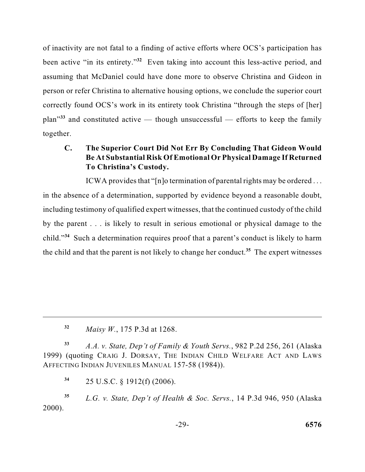of inactivity are not fatal to a finding of active efforts where OCS's participation has person or refer Christina to alternative housing options, we conclude the superior court plan<sup>33</sup> and constituted active — though unsuccessful — efforts to keep the family been active "in its entirety."<sup>32</sup> Even taking into account this less-active period, and assuming that McDaniel could have done more to observe Christina and Gideon in correctly found OCS's work in its entirety took Christina "through the steps of [her] together.

# **C. The Superior Court Did Not Err By Concluding That Gideon Would Be At Substantial Risk Of Emotional Or Physical Damage If Returned To Christina's Custody.**

 including testimony of qualified expert witnesses, that the continued custody of the child the child and that the parent is not likely to change her conduct. **<sup>35</sup>**The expert witnesses ICWA provides that "[n]o termination of parental rights may be ordered . . . in the absence of a determination, supported by evidence beyond a reasonable doubt, by the parent . . . is likely to result in serious emotional or physical damage to the child."<sup>34</sup> Such a determination requires proof that a parent's conduct is likely to harm

**<sup>32</sup>***Maisy W.*, 175 P.3d at 1268.

 **<sup>33</sup>***A.A. v. State, Dep't of Family & Youth Servs.*, 982 P.2d 256, 261 (Alaska 1999) (quoting CRAIG J. DORSAY, THE INDIAN CHILD WELFARE ACT AND LAWS AFFECTING INDIAN JUVENILES MANUAL 157-58 (1984)).

**<sup>34</sup>**25 U.S.C. § 1912(f) (2006).

**<sup>35</sup>***L.G. v. State, Dep't of Health & Soc. Servs.*, 14 P.3d 946, 950 (Alaska 2000).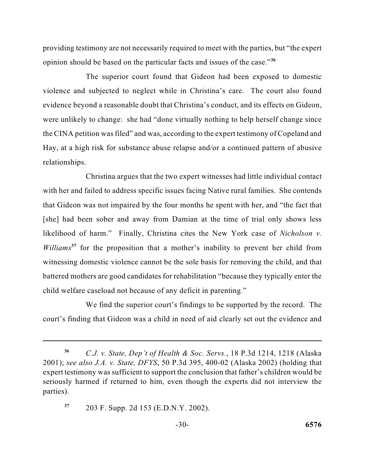providing testimony are not necessarily required to meet with the parties, but "the expert opinion should be based on the particular facts and issues of the case."**<sup>36</sup>**

 evidence beyond a reasonable doubt that Christina's conduct, and its effects on Gideon, the CINA petition was filed" and was, according to the expert testimony of Copeland and Hay, at a high risk for substance abuse relapse and/or a continued pattern of abusive The superior court found that Gideon had been exposed to domestic violence and subjected to neglect while in Christina's care. The court also found were unlikely to change: she had "done virtually nothing to help herself change since relationships.

 Christina argues that the two expert witnesses had little individual contact with her and failed to address specific issues facing Native rural families. She contends likelihood of harm." Finally, Christina cites the New York case of *Nicholson v.*  that Gideon was not impaired by the four months he spent with her, and "the fact that [she] had been sober and away from Damian at the time of trial only shows less *Williams*<sup>37</sup> for the proposition that a mother's inability to prevent her child from witnessing domestic violence cannot be the sole basis for removing the child, and that battered mothers are good candidates for rehabilitation "because they typically enter the child welfare caseload not because of any deficit in parenting."

 court's finding that Gideon was a child in need of aid clearly set out the evidence and We find the superior court's findings to be supported by the record. The

**<sup>37</sup>**203 F. Supp. 2d 153 (E.D.N.Y. 2002).

 **<sup>36</sup>***C.J. v. State, Dep't of Health & Soc. Servs.*, 18 P.3d 1214, 1218 (Alaska 2001); *see also J.A. v. State, DFYS*, 50 P.3d 395, 400-02 (Alaska 2002) (holding that expert testimony was sufficient to support the conclusion that father's children would be seriously harmed if returned to him, even though the experts did not interview the parties).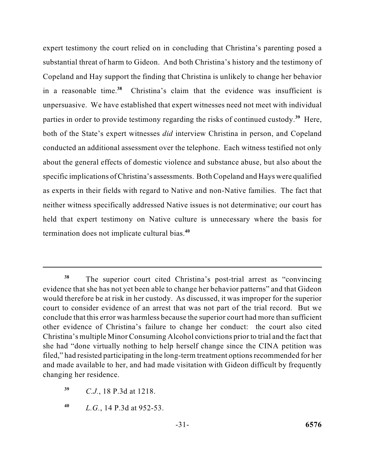expert testimony the court relied on in concluding that Christina's parenting posed a in a reasonable time.<sup>38</sup> Christina's claim that the evidence was insufficient is unpersuasive. We have established that expert witnesses need not meet with individual conducted an additional assessment over the telephone. Each witness testified not only about the general effects of domestic violence and substance abuse, but also about the substantial threat of harm to Gideon. And both Christina's history and the testimony of Copeland and Hay support the finding that Christina is unlikely to change her behavior parties in order to provide testimony regarding the risks of continued custody.<sup>39</sup> Here, both of the State's expert witnesses *did* interview Christina in person, and Copeland specific implications of Christina's assessments. Both Copeland and Hays were qualified as experts in their fields with regard to Native and non-Native families. The fact that neither witness specifically addressed Native issues is not determinative; our court has held that expert testimony on Native culture is unnecessary where the basis for termination does not implicate cultural bias.**<sup>40</sup>**

**<sup>39</sup>***C.J.*, 18 P.3d at 1218.

**<sup>40</sup>***L.G.*, 14 P.3d at 952-53.

 **<sup>38</sup>**The superior court cited Christina's post-trial arrest as "convincing conclude that this error was harmless because the superior court had more than sufficient Christina's multiple Minor Consuming Alcohol convictions prior to trial and the fact that and made available to her, and had made visitation with Gideon difficult by frequently evidence that she has not yet been able to change her behavior patterns" and that Gideon would therefore be at risk in her custody. As discussed, it was improper for the superior court to consider evidence of an arrest that was not part of the trial record. But we other evidence of Christina's failure to change her conduct: the court also cited she had "done virtually nothing to help herself change since the CINA petition was filed," had resisted participating in the long-term treatment options recommended for her changing her residence.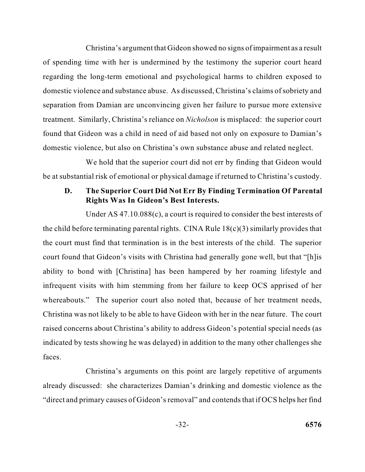domestic violence and substance abuse. As discussed, Christina's claims of sobriety and treatment. Similarly, Christina's reliance on *Nicholson* is misplaced: the superior court found that Gideon was a child in need of aid based not only on exposure to Damian's Christina's argument that Gideon showed no signs of impairment as a result of spending time with her is undermined by the testimony the superior court heard regarding the long-term emotional and psychological harms to children exposed to separation from Damian are unconvincing given her failure to pursue more extensive domestic violence, but also on Christina's own substance abuse and related neglect.

 be at substantial risk of emotional or physical damage if returned to Christina's custody. We hold that the superior court did not err by finding that Gideon would

### **D. The Superior Court Did Not Err By Finding Termination Of Parental Rights Was In Gideon's Best Interests.**

 court found that Gideon's visits with Christina had generally gone well, but that "[h]is ability to bond with [Christina] has been hampered by her roaming lifestyle and raised concerns about Christina's ability to address Gideon's potential special needs (as indicated by tests showing he was delayed) in addition to the many other challenges she Under AS 47.10.088(c), a court is required to consider the best interests of the child before terminating parental rights. CINA Rule  $18(c)(3)$  similarly provides that the court must find that termination is in the best interests of the child. The superior infrequent visits with him stemming from her failure to keep OCS apprised of her whereabouts." The superior court also noted that, because of her treatment needs, Christina was not likely to be able to have Gideon with her in the near future. The court faces.

 "direct and primary causes of Gideon's removal" and contends that if OCS helps her find Christina's arguments on this point are largely repetitive of arguments already discussed: she characterizes Damian's drinking and domestic violence as the